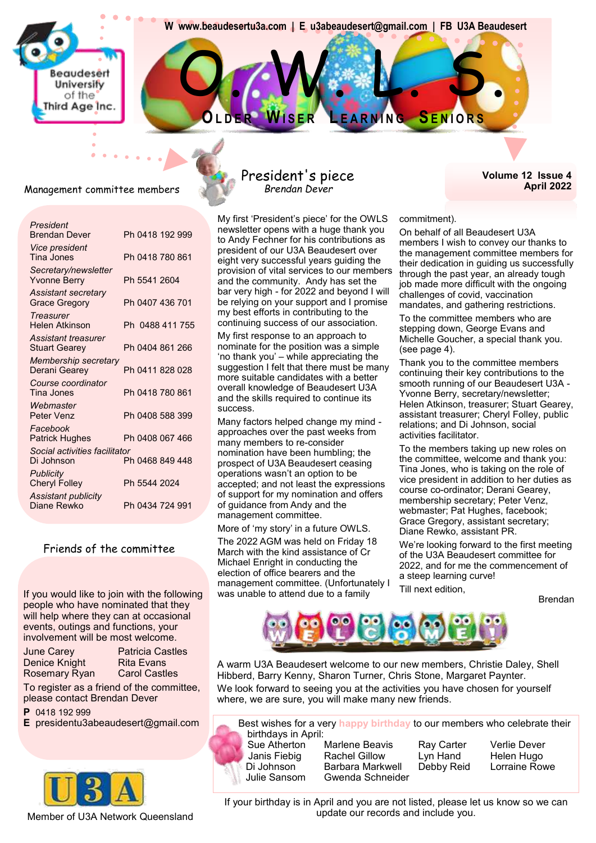**www.beaudesertu3a.com | E u3abeaudesert@gmail.com | FB U3A Beaudesert** 

O. N. L. S.

**OL D E R WI S E R L E A R N I N G SE N I O R S**

Management committee members

**Beaudesert** University of the Third Age Inc

| President<br><b>Brendan Dever</b>                  | Ph 0418 192 999 |
|----------------------------------------------------|-----------------|
| Vice president<br>Tina Jones                       | Ph 0418 780 861 |
| Secretary/newsletter<br><b>Yvonne Berry</b>        | Ph 5541 2604    |
| <b>Assistant secretary</b><br><b>Grace Gregory</b> | Ph 0407 436 701 |
| <b>Treasurer</b><br>Helen Atkinson                 | Ph 0488 411 755 |
| Assistant treasurer<br>Stuart Gearey               | Ph 0404 861 266 |
| Membership secretary<br>Derani Gearey              | Ph 0411 828 028 |
| Course coordinator<br>Tina Jones                   | Ph 0418 780 861 |
| Webmaster<br>Peter Venz                            | Ph 0408 588 399 |
| Facebook<br><b>Patrick Hughes</b>                  | Ph 0408 067 466 |
| Social activities facilitator<br>Di Johnson        | Ph 0468 849 448 |
| <b>Publicity</b><br><b>Cheryl Folley</b>           | Ph 5544 2024    |
| Assistant publicity<br>Diane Rewko                 | Ph 0434 724 991 |
|                                                    |                 |

#### Friends of the committee

If you would like to join with the following was unable to attend due to a family source the interact equivity people who have nominated that they will help where they can at occasional events, outings and functions, your involvement will be most welcome.

June Carey Patricia Castles Denice Knight Rita Evans Rosemary Ryan Carol Castles

To register as a friend of the committee, please contact Brendan Dever

- **P** 0418 192 999
- **E** presidentu3abeaudesert@gmail.com



#### Member of U3A Network Queensland

#### President's piece *Brendan Dever*

My first 'President's piece' for the OWLS newsletter opens with a huge thank you to Andy Fechner for his contributions as president of our U3A Beaudesert over eight very successful years guiding the provision of vital services to our members and the community. Andy has set the bar very high - for 2022 and beyond I will be relying on your support and I promise my best efforts in contributing to the continuing success of our association.

My first response to an approach to nominate for the position was a simple 'no thank you' – while appreciating the suggestion I felt that there must be many more suitable candidates with a better overall knowledge of Beaudesert U3A and the skills required to continue its success.

Many factors helped change my mind approaches over the past weeks from many members to re-consider nomination have been humbling; the prospect of U3A Beaudesert ceasing operations wasn't an option to be accepted; and not least the expressions of support for my nomination and offers of guidance from Andy and the management committee.

More of 'my story' in a future OWLS.

The 2022 AGM was held on Friday 18 March with the kind assistance of Cr Michael Enright in conducting the election of office bearers and the management committee. (Unfortunately I was unable to attend due to a family

#### **Volume 12 Issue 4 April 2022**

commitment).

On behalf of all Beaudesert U3A members I wish to convey our thanks to the management committee members for their dedication in guiding us successfully through the past year, an already tough job made more difficult with the ongoing challenges of covid, vaccination mandates, and gathering restrictions.

To the committee members who are stepping down, George Evans and Michelle Goucher, a special thank you. (see page 4).

Thank you to the committee members continuing their key contributions to the smooth running of our Beaudesert U3A - Yvonne Berry, secretary/newsletter; Helen Atkinson, treasurer; Stuart Gearey, assistant treasurer; Cheryl Folley, public relations; and Di Johnson, social activities facilitator.

To the members taking up new roles on the committee, welcome and thank you: Tina Jones, who is taking on the role of vice president in addition to her duties as course co-ordinator; Derani Gearey, membership secretary; Peter Venz, webmaster; Pat Hughes, facebook; Grace Gregory, assistant secretary; Diane Rewko, assistant PR.

We're looking forward to the first meeting of the U3A Beaudesert committee for 2022, and for me the commencement of a steep learning curve! Till next edition,



A warm U3A Beaudesert welcome to our new members, Christie Daley, Shell Hibberd, Barry Kenny, Sharon Turner, Chris Stone, Margaret Paynter. We look forward to seeing you at the activities you have chosen for yourself where, we are sure, you will make many new friends.

Best wishes for a very **happy birthday** to our members who celebrate their birthdays in April: Marlene Beavis Ray Carter Verlie Dever Janis Fiebig Rachel Gillow Lyn Hand Helen Hugo

Di Johnson Barbara Markwell Debby Reid Lorraine Rowe Julie Sansom Gwenda Schneider

If your birthday is in April and you are not listed, please let us know so we can update our records and include you.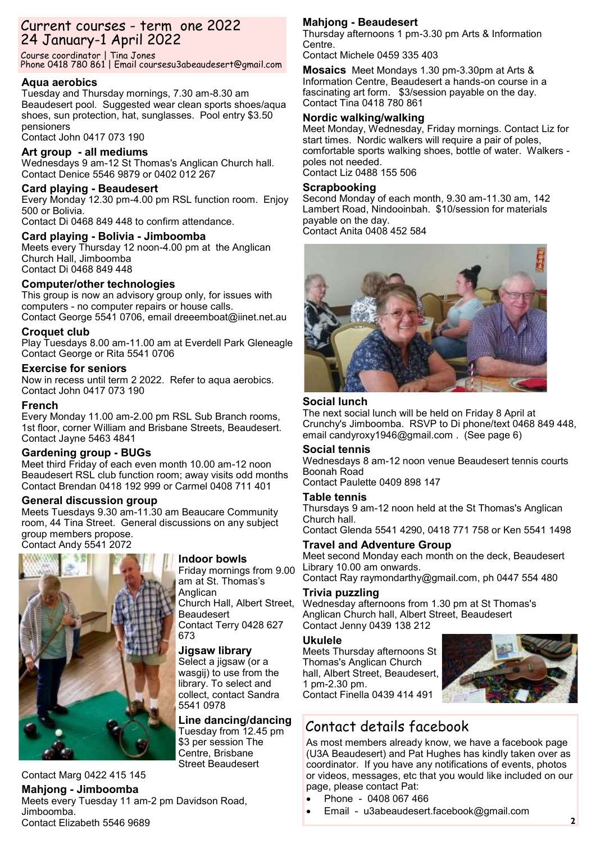## Current courses - term one 2022 24 January-1 April 2022

Course coordinator | Tina Jones Phone 0418 780 861 | Email coursesu3abeaudesert@gmail.com

#### **Aqua aerobics**

Tuesday and Thursday mornings, 7.30 am-8.30 am Beaudesert pool. Suggested wear clean sports shoes/aqua shoes, sun protection, hat, sunglasses. Pool entry \$3.50 pensioners

## Contact John 0417 073 190

#### **Art group - all mediums**

Wednesdays 9 am-12 St Thomas's Anglican Church hall. Contact Denice 5546 9879 or 0402 012 267

#### **Card playing - Beaudesert**

Every Monday 12.30 pm-4.00 pm RSL function room. Enjoy 500 or Bolivia.

Contact Di 0468 849 448 to confirm attendance.

#### **Card playing - Bolivia - Jimboomba**

Meets every Thursday 12 noon-4.00 pm at the Anglican Church Hall, Jimboomba Contact Di 0468 849 448

#### **Computer/other technologies**

This group is now an advisory group only, for issues with computers - no computer repairs or house calls. Contact George 5541 0706, email dreeemboat@iinet.net.au

#### **Croquet club**

Play Tuesdays 8.00 am-11.00 am at Everdell Park Gleneagle Contact George or Rita 5541 0706

#### **Exercise for seniors**

Now in recess until term 2 2022. Refer to aqua aerobics. Contact John 0417 073 190

#### **French**

Every Monday 11.00 am-2.00 pm RSL Sub Branch rooms, 1st floor, corner William and Brisbane Streets, Beaudesert. Contact Jayne 5463 4841

#### **Gardening group - BUGs**

Meet third Friday of each even month 10.00 am-12 noon Beaudesert RSL club function room; away visits odd months Contact Brendan 0418 192 999 or Carmel 0408 711 401

#### **General discussion group**

Meets Tuesdays 9.30 am-11.30 am Beaucare Community room, 44 Tina Street. General discussions on any subject group members propose. Contact Andy 5541 2072

#### Contact Marg 0422 415 145 **Mahjong - Jimboomba** Meets every Tuesday 11 am-2 pm Davidson Road, Jimboomba.

## Contact Elizabeth 5546 9689

#### **Indoor bowls**

Friday mornings from 9.00 am at St. Thomas's Anglican Church Hall, Albert Street, Beaudesert Contact Terry 0428 627 673

#### **Jigsaw library**

Select a jigsaw (or a wasgij) to use from the library. To select and collect, contact Sandra 5541 0978

#### **Line dancing/dancing**

Tuesday from 12.45 pm \$3 per session The Centre, Brisbane Street Beaudesert

#### **Mahjong - Beaudesert**

Thursday afternoons 1 pm-3.30 pm Arts & Information Centre.

Contact Michele 0459 335 403

**Mosaics** Meet Mondays 1.30 pm-3.30pm at Arts & Information Centre, Beaudesert a hands-on course in a fascinating art form. \$3/session payable on the day. Contact Tina 0418 780 861

#### **Nordic walking/walking**

Meet Monday, Wednesday, Friday mornings. Contact Liz for start times. Nordic walkers will require a pair of poles, comfortable sports walking shoes, bottle of water. Walkers poles not needed. Contact Liz 0488 155 506

#### **Scrapbooking**

Second Monday of each month, 9.30 am-11.30 am, 142 Lambert Road, Nindooinbah. \$10/session for materials payable on the day. Contact Anita 0408 452 584



#### **Social lunch**

The next social lunch will be held on Friday 8 April at Crunchy's Jimboomba. RSVP to Di phone/text 0468 849 448, email candyroxy1946@gmail.com . (See page 6)

#### **Social tennis**

Wednesdays 8 am-12 noon venue Beaudesert tennis courts Boonah Road

Contact Paulette 0409 898 147

#### **Table tennis**

Thursdays 9 am-12 noon held at the St Thomas's Anglican Church hall.

Contact Glenda 5541 4290, 0418 771 758 or Ken 5541 1498

#### **Travel and Adventure Group**

Meet second Monday each month on the deck, Beaudesert Library 10.00 am onwards.

Contact Ray raymondarthy@gmail.com, ph 0447 554 480 **Trivia puzzling** 

Wednesday afternoons from 1.30 pm at St Thomas's Anglican Church hall, Albert Street, Beaudesert Contact Jenny 0439 138 212

#### **Ukulele**

Meets Thursday afternoons St Thomas's Anglican Church hall, Albert Street, Beaudesert, 1 pm-2.30 pm. Contact Finella 0439 414 491



## Contact details facebook

As most members already know, we have a facebook page (U3A Beaudesert) and Pat Hughes has kindly taken over as coordinator. If you have any notifications of events, photos or videos, messages, etc that you would like included on our page, please contact Pat:

- Phone 0408 067 466
- Email u3abeaudesert.facebook@gmail.com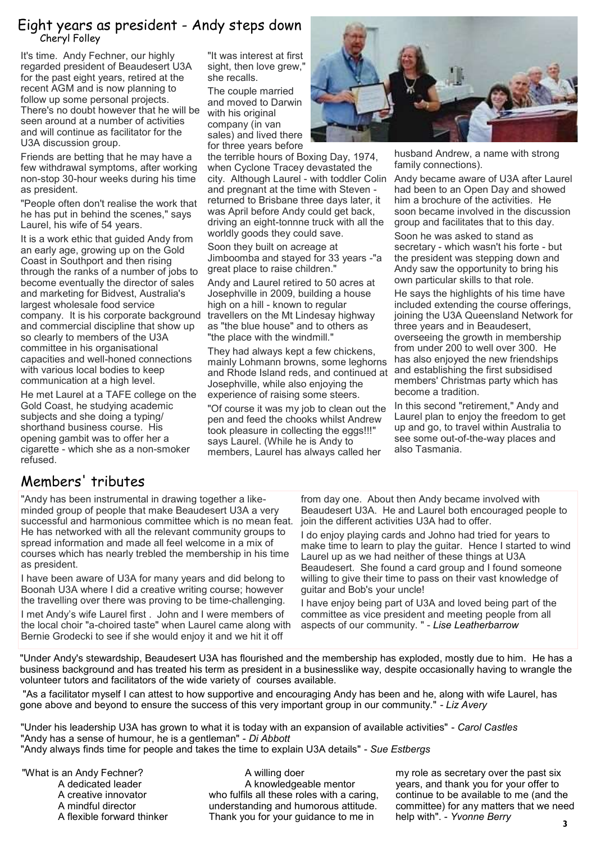### Eight years as president - Andy steps down Cheryl Folley

It's time. Andy Fechner, our highly regarded president of Beaudesert U3A for the past eight years, retired at the recent AGM and is now planning to follow up some personal projects. There's no doubt however that he will be seen around at a number of activities and will continue as facilitator for the U3A discussion group.

Friends are betting that he may have a few withdrawal symptoms, after working non-stop 30-hour weeks during his time as president.

"People often don't realise the work that he has put in behind the scenes," says Laurel, his wife of 54 years.

It is a work ethic that guided Andy from an early age, growing up on the Gold Coast in Southport and then rising through the ranks of a number of jobs to become eventually the director of sales and marketing for Bidvest, Australia's largest wholesale food service company. It is his corporate background and commercial discipline that show up so clearly to members of the U3A committee in his organisational capacities and well-honed connections with various local bodies to keep communication at a high level.

He met Laurel at a TAFE college on the Gold Coast, he studying academic subjects and she doing a typing/ shorthand business course. His opening gambit was to offer her a cigarette - which she as a non-smoker refused.

"It was interest at first sight, then love grew, she recalls.

The couple married and moved to Darwin with his original company (in van sales) and lived there for three years before

the terrible hours of Boxing Day, 1974, when Cyclone Tracey devastated the city. Although Laurel - with toddler Colin and pregnant at the time with Steven returned to Brisbane three days later, it was April before Andy could get back, driving an eight-tonnne truck with all the worldly goods they could save.

Soon they built on acreage at Jimboomba and stayed for 33 years -"a great place to raise children."

Andy and Laurel retired to 50 acres at Josephville in 2009, building a house high on a hill - known to regular travellers on the Mt Lindesay highway as "the blue house" and to others as "the place with the windmill."

They had always kept a few chickens, mainly Lohmann browns, some leghorns and Rhode Island reds, and continued at Josephville, while also enjoying the experience of raising some steers.

"Of course it was my job to clean out the pen and feed the chooks whilst Andrew took pleasure in collecting the eggs!!!" says Laurel. (While he is Andy to members, Laurel has always called her



husband Andrew, a name with strong family connections).

Andy became aware of U3A after Laurel had been to an Open Day and showed him a brochure of the activities. He soon became involved in the discussion group and facilitates that to this day.

Soon he was asked to stand as secretary - which wasn't his forte - but the president was stepping down and Andy saw the opportunity to bring his own particular skills to that role.

He says the highlights of his time have included extending the course offerings, joining the U3A Queensland Network for three years and in Beaudesert, overseeing the growth in membership from under 200 to well over 300. He has also enjoyed the new friendships and establishing the first subsidised members' Christmas party which has become a tradition.

In this second "retirement," Andy and Laurel plan to enjoy the freedom to get up and go, to travel within Australia to see some out-of-the-way places and also Tasmania.

## Members' tributes

"Andy has been instrumental in drawing together a likeminded group of people that make Beaudesert U3A a very successful and harmonious committee which is no mean feat. He has networked with all the relevant community groups to spread information and made all feel welcome in a mix of courses which has nearly trebled the membership in his time as president.

I have been aware of U3A for many years and did belong to Boonah U3A where I did a creative writing course; however the travelling over there was proving to be time-challenging.

I met Andy's wife Laurel first . John and I were members of the local choir "a-choired taste" when Laurel came along with Bernie Grodecki to see if she would enjoy it and we hit it off

from day one. About then Andy became involved with Beaudesert U3A. He and Laurel both encouraged people to join the different activities U3A had to offer.

I do enjoy playing cards and Johno had tried for years to make time to learn to play the guitar. Hence I started to wind Laurel up as we had neither of these things at U3A Beaudesert. She found a card group and I found someone willing to give their time to pass on their vast knowledge of guitar and Bob's your uncle!

I have enjoy being part of U3A and loved being part of the committee as vice president and meeting people from all aspects of our community. " - *Lise Leatherbarrow*

"Under Andy's stewardship, Beaudesert U3A has flourished and the membership has exploded, mostly due to him. He has a business background and has treated his term as president in a businesslike way, despite occasionally having to wrangle the volunteer tutors and facilitators of the wide variety of courses available.

"As a facilitator myself I can attest to how supportive and encouraging Andy has been and he, along with wife Laurel, has gone above and beyond to ensure the success of this very important group in our community." *- Liz Avery*

"Under his leadership U3A has grown to what it is today with an expansion of available activities" - *Carol Castles* "Andy has a sense of humour, he is a gentleman" - *Di Abbott* "Andy always finds time for people and takes the time to explain U3A details" - *Sue Estbergs*

"What is an Andy Fechner? A dedicated leader A creative innovator A mindful director A flexible forward thinker

A willing doer A knowledgeable mentor who fulfils all these roles with a caring, understanding and humorous attitude. Thank you for your guidance to me in

my role as secretary over the past six years, and thank you for your offer to continue to be available to me (and the committee) for any matters that we need help with". - *Yvonne Berry*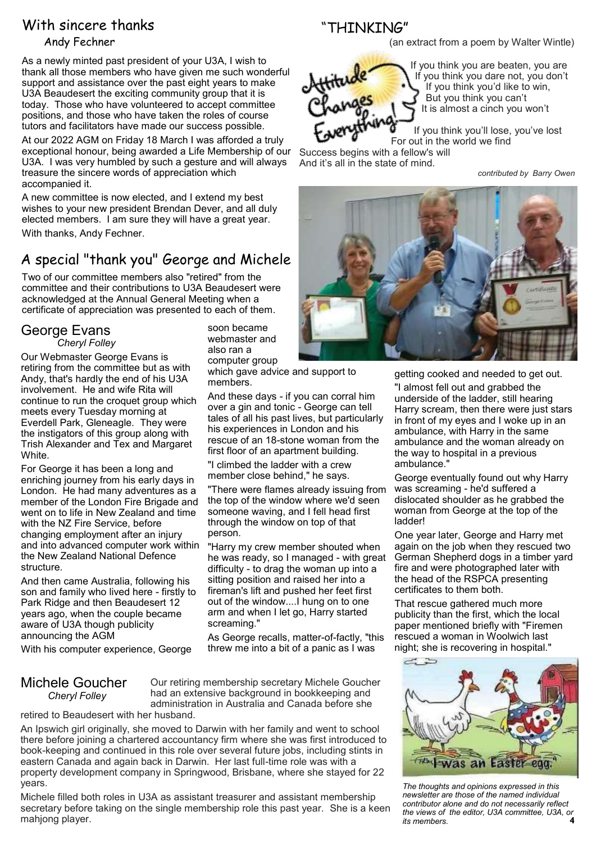## With sincere thanks

#### Andy Fechner

As a newly minted past president of your U3A, I wish to thank all those members who have given me such wonderful support and assistance over the past eight years to make U3A Beaudesert the exciting community group that it is today. Those who have volunteered to accept committee positions, and those who have taken the roles of course tutors and facilitators have made our success possible.

At our 2022 AGM on Friday 18 March I was afforded a truly exceptional honour, being awarded a Life Membership of our U3A. I was very humbled by such a gesture and will always treasure the sincere words of appreciation which accompanied it.

A new committee is now elected, and I extend my best wishes to your new president Brendan Dever, and all duly elected members. I am sure they will have a great year. With thanks, Andy Fechner.

## A special "thank you" George and Michele

Two of our committee members also "retired" from the committee and their contributions to U3A Beaudesert were acknowledged at the Annual General Meeting when a certificate of appreciation was presented to each of them.

> soon became webmaster and also ran a computer group

members.

person.

screaming."

And these days - if you can corral him over a gin and tonic - George can tell tales of all his past lives, but particularly his experiences in London and his rescue of an 18-stone woman from the first floor of an apartment building. "I climbed the ladder with a crew member close behind," he says.

"There were flames already issuing from the top of the window where we'd seen someone waving, and I fell head first through the window on top of that

"Harry my crew member shouted when he was ready, so I managed - with great difficulty - to drag the woman up into a sitting position and raised her into a fireman's lift and pushed her feet first out of the window....I hung on to one arm and when I let go, Harry started

As George recalls, matter-of-factly, "this threw me into a bit of a panic as I was

## George Evans

*Cheryl Folley*

Our Webmaster George Evans is retiring from the committee but as with Andy, that's hardly the end of his U3A involvement. He and wife Rita will continue to run the croquet group which meets every Tuesday morning at Everdell Park, Gleneagle. They were the instigators of this group along with Trish Alexander and Tex and Margaret White.

For George it has been a long and enriching journey from his early days in London. He had many adventures as a member of the London Fire Brigade and went on to life in New Zealand and time with the NZ Fire Service, before changing employment after an injury and into advanced computer work within the New Zealand National Defence structure.

And then came Australia, following his son and family who lived here - firstly to Park Ridge and then Beaudesert 12 years ago, when the couple became aware of U3A though publicity announcing the AGM

With his computer experience, George

#### Michele Goucher *Cheryl Folley*

Our retiring membership secretary Michele Goucher had an extensive background in bookkeeping and administration in Australia and Canada before she

retired to Beaudesert with her husband.

An Ipswich girl originally, she moved to Darwin with her family and went to school there before joining a chartered accountancy firm where she was first introduced to book-keeping and continued in this role over several future jobs, including stints in eastern Canada and again back in Darwin. Her last full-time role was with a property development company in Springwood, Brisbane, where she stayed for 22 years.

Michele filled both roles in U3A as assistant treasurer and assistant membership secretary before taking on the single membership role this past year. She is a keen mahjong player.

"THINKING"

(an extract from a poem by Walter Wintle)



If you think you are beaten, you are If you think you dare not, you don't If you think you'd like to win, But you think you can't It is almost a cinch you won't

If you think you'll lose, you've lost For out in the world we find Success begins with a fellow's will

And it's all in the state of mind.

*contributed by Barry Owen*



getting cooked and needed to get out. "I almost fell out and grabbed the underside of the ladder, still hearing Harry scream, then there were just stars in front of my eyes and I woke up in an ambulance, with Harry in the same ambulance and the woman already on the way to hospital in a previous ambulance."

George eventually found out why Harry was screaming - he'd suffered a dislocated shoulder as he grabbed the woman from George at the top of the ladder!

One year later, George and Harry met again on the job when they rescued two German Shepherd dogs in a timber yard fire and were photographed later with the head of the RSPCA presenting certificates to them both.

That rescue gathered much more publicity than the first, which the local paper mentioned briefly with "Firemen rescued a woman in Woolwich last night; she is recovering in hospital."



**4** *The thoughts and opinions expressed in this newsletter are those of the named individual contributor alone and do not necessarily reflect the views of the editor, U3A committee, U3A, or its members.*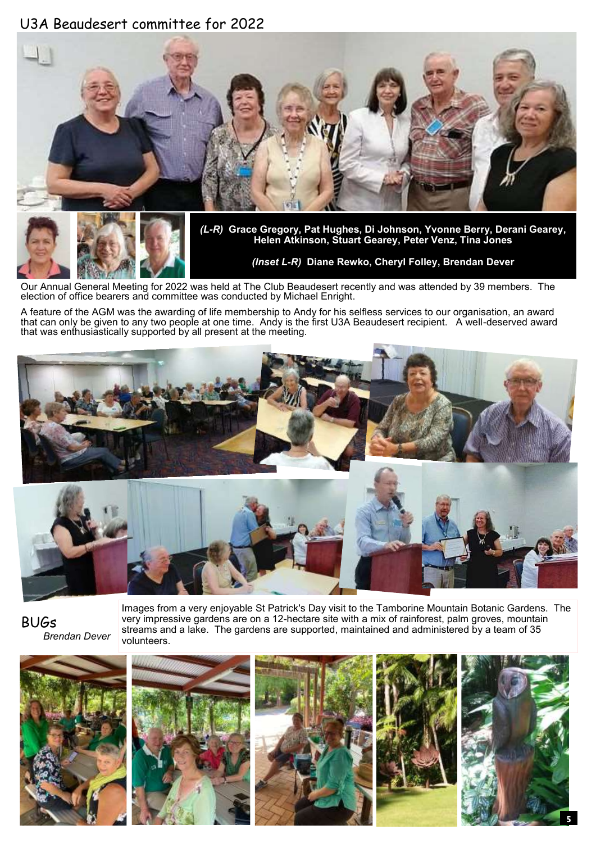## U3A Beaudesert committee for 2022





*(L-R)* **Grace Gregory, Pat Hughes, Di Johnson, Yvonne Berry, Derani Gearey, Helen Atkinson, Stuart Gearey, Peter Venz, Tina Jones**

*(Inset L-R)* **Diane Rewko, Cheryl Folley, Brendan Dever**

Our Annual General Meeting for 2022 was held at The Club Beaudesert recently and was attended by 39 members. The election of office bearers and committee was conducted by Michael Enright.

A feature of the AGM was the awarding of life membership to Andy for his selfless services to our organisation, an award that can only be given to any two people at one time. Andy is the first U3A Beaudesert recipient. A well-deserved award that was enthusiastically supported by all present at the meeting.





Images from a very enjoyable St Patrick's Day visit to the Tamborine Mountain Botanic Gardens. The very impressive gardens are on a 12-hectare site with a mix of rainforest, palm groves, mountain streams and a lake. The gardens are supported, maintained and administered by a team of 35 volunteers.